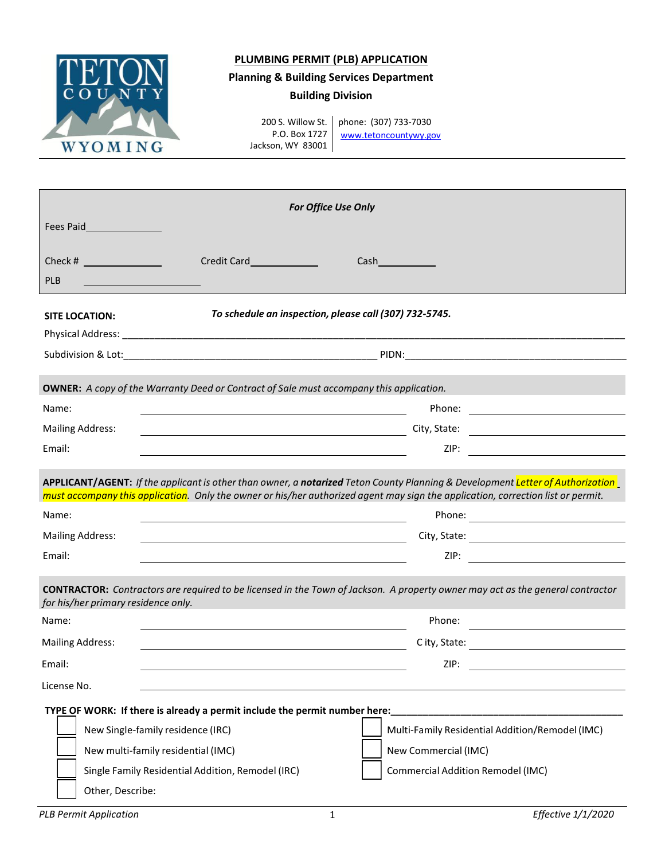

## **PLUMBING PERMIT (PLB) APPLICATION**

## **Planning & Building Services Department**

## **Building Division**

200 S. Willow St. P.O. Box 1727 Jackson, WY 83001

phone: (307) 733-7030 [www.tetoncountywy.gov](http://www.tetoncountywy.gov/)

| For Office Use Only                                                                                                                    |                                                                                                                                                                                                                                                                                             |                                                                                                                                                                                                                                |  |  |  |  |  |
|----------------------------------------------------------------------------------------------------------------------------------------|---------------------------------------------------------------------------------------------------------------------------------------------------------------------------------------------------------------------------------------------------------------------------------------------|--------------------------------------------------------------------------------------------------------------------------------------------------------------------------------------------------------------------------------|--|--|--|--|--|
|                                                                                                                                        |                                                                                                                                                                                                                                                                                             |                                                                                                                                                                                                                                |  |  |  |  |  |
|                                                                                                                                        | <b>Credit Card Card</b>                                                                                                                                                                                                                                                                     | Cash and the control of the control of the control of the control of the control of the control of the control of the control of the control of the control of the control of the control of the control of the control of the |  |  |  |  |  |
| <b>PLB</b>                                                                                                                             |                                                                                                                                                                                                                                                                                             |                                                                                                                                                                                                                                |  |  |  |  |  |
|                                                                                                                                        |                                                                                                                                                                                                                                                                                             | To schedule an inspection, please call (307) 732-5745.                                                                                                                                                                         |  |  |  |  |  |
| <b>SITE LOCATION:</b>                                                                                                                  |                                                                                                                                                                                                                                                                                             |                                                                                                                                                                                                                                |  |  |  |  |  |
|                                                                                                                                        |                                                                                                                                                                                                                                                                                             |                                                                                                                                                                                                                                |  |  |  |  |  |
|                                                                                                                                        |                                                                                                                                                                                                                                                                                             |                                                                                                                                                                                                                                |  |  |  |  |  |
|                                                                                                                                        | <b>OWNER:</b> A copy of the Warranty Deed or Contract of Sale must accompany this application.                                                                                                                                                                                              |                                                                                                                                                                                                                                |  |  |  |  |  |
| Name:                                                                                                                                  |                                                                                                                                                                                                                                                                                             |                                                                                                                                                                                                                                |  |  |  |  |  |
| <b>Mailing Address:</b>                                                                                                                |                                                                                                                                                                                                                                                                                             | City, State:                                                                                                                                                                                                                   |  |  |  |  |  |
| Email:                                                                                                                                 |                                                                                                                                                                                                                                                                                             | ZIP: And the contract of the contract of the contract of the contract of the contract of the contract of the contract of the contract of the contract of the contract of the contract of the contract of the contract of the c |  |  |  |  |  |
| Name:                                                                                                                                  |                                                                                                                                                                                                                                                                                             | must accompany this application. Only the owner or his/her authorized agent may sign the application, correction list or permit.                                                                                               |  |  |  |  |  |
| <b>Mailing Address:</b>                                                                                                                |                                                                                                                                                                                                                                                                                             |                                                                                                                                                                                                                                |  |  |  |  |  |
| Email:                                                                                                                                 | <u> 1980 - Johann Barbara, martxa alemaniar populari (</u><br>the control of the control of the control of the control of the control of the control of the control of the control of the control of the control of the control of the control of the control of the control of the control |                                                                                                                                                                                                                                |  |  |  |  |  |
|                                                                                                                                        |                                                                                                                                                                                                                                                                                             |                                                                                                                                                                                                                                |  |  |  |  |  |
|                                                                                                                                        | <b>CONTRACTOR:</b> Contractors are required to be licensed in the Town of Jackson. A property owner may act as the general contractor                                                                                                                                                       |                                                                                                                                                                                                                                |  |  |  |  |  |
|                                                                                                                                        |                                                                                                                                                                                                                                                                                             |                                                                                                                                                                                                                                |  |  |  |  |  |
|                                                                                                                                        |                                                                                                                                                                                                                                                                                             | Phone:                                                                                                                                                                                                                         |  |  |  |  |  |
|                                                                                                                                        |                                                                                                                                                                                                                                                                                             |                                                                                                                                                                                                                                |  |  |  |  |  |
|                                                                                                                                        |                                                                                                                                                                                                                                                                                             | C ity, State: <u>__________________________</u><br>ZIP:                                                                                                                                                                        |  |  |  |  |  |
|                                                                                                                                        |                                                                                                                                                                                                                                                                                             |                                                                                                                                                                                                                                |  |  |  |  |  |
|                                                                                                                                        |                                                                                                                                                                                                                                                                                             |                                                                                                                                                                                                                                |  |  |  |  |  |
|                                                                                                                                        | TYPE OF WORK: If there is already a permit include the permit number here:                                                                                                                                                                                                                  |                                                                                                                                                                                                                                |  |  |  |  |  |
| New Single-family residence (IRC)                                                                                                      |                                                                                                                                                                                                                                                                                             | Multi-Family Residential Addition/Remodel (IMC)                                                                                                                                                                                |  |  |  |  |  |
| for his/her primary residence only.<br>Name:<br><b>Mailing Address:</b><br>Email:<br>License No.<br>New multi-family residential (IMC) | Single Family Residential Addition, Remodel (IRC)                                                                                                                                                                                                                                           | New Commercial (IMC)<br><b>Commercial Addition Remodel (IMC)</b>                                                                                                                                                               |  |  |  |  |  |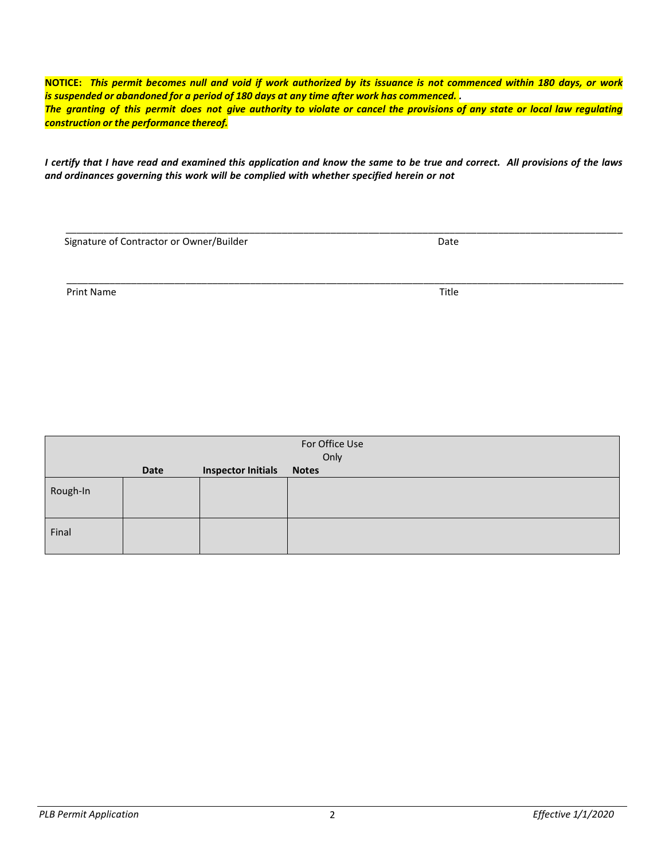NOTICE: This permit becomes null and void if work authorized by its issuance is not commenced within 180 days, or work *is suspended or abandoned for a period of 180 days at any time after work has commenced. .*  The granting of this permit does not give authority to violate or cancel the provisions of any state or local law regulating *construction or the performance thereof.*

I certify that I have read and examined this application and know the same to be true and correct. All provisions of the laws *and ordinances governing this work will be complied with whether specified herein or not*

 $\_$  ,  $\_$  ,  $\_$  ,  $\_$  ,  $\_$  ,  $\_$  ,  $\_$  ,  $\_$  ,  $\_$  ,  $\_$  ,  $\_$  ,  $\_$  ,  $\_$  ,  $\_$  ,  $\_$  ,  $\_$  ,  $\_$  ,  $\_$  ,  $\_$  ,  $\_$  ,  $\_$  ,  $\_$  ,  $\_$  ,  $\_$  ,  $\_$  ,  $\_$  ,  $\_$  ,  $\_$  ,  $\_$  ,  $\_$  ,  $\_$  ,  $\_$  ,  $\_$  ,  $\_$  ,  $\_$  ,  $\_$  ,  $\_$  , Signature of Contractor or Owner/Builder Date

\_\_\_\_\_\_\_\_\_\_\_\_\_\_\_\_\_\_\_\_\_\_\_\_\_\_\_\_\_\_\_\_\_\_\_\_\_\_\_\_\_\_\_\_\_\_\_\_\_\_\_\_\_\_\_\_\_\_\_\_\_\_\_\_\_\_\_\_\_\_\_\_\_\_\_\_\_\_\_\_\_\_\_\_\_\_\_\_\_\_\_\_\_\_\_\_\_\_\_\_\_\_\_ Print Name Title **The Community of the Community Community** Community Community Community Community Community Community Community Community Community Community Community Community Community Community Community Community Co

| For Office Use<br>Only |             |                           |              |  |  |  |
|------------------------|-------------|---------------------------|--------------|--|--|--|
|                        | <b>Date</b> | <b>Inspector Initials</b> | <b>Notes</b> |  |  |  |
| Rough-In               |             |                           |              |  |  |  |
| Final                  |             |                           |              |  |  |  |